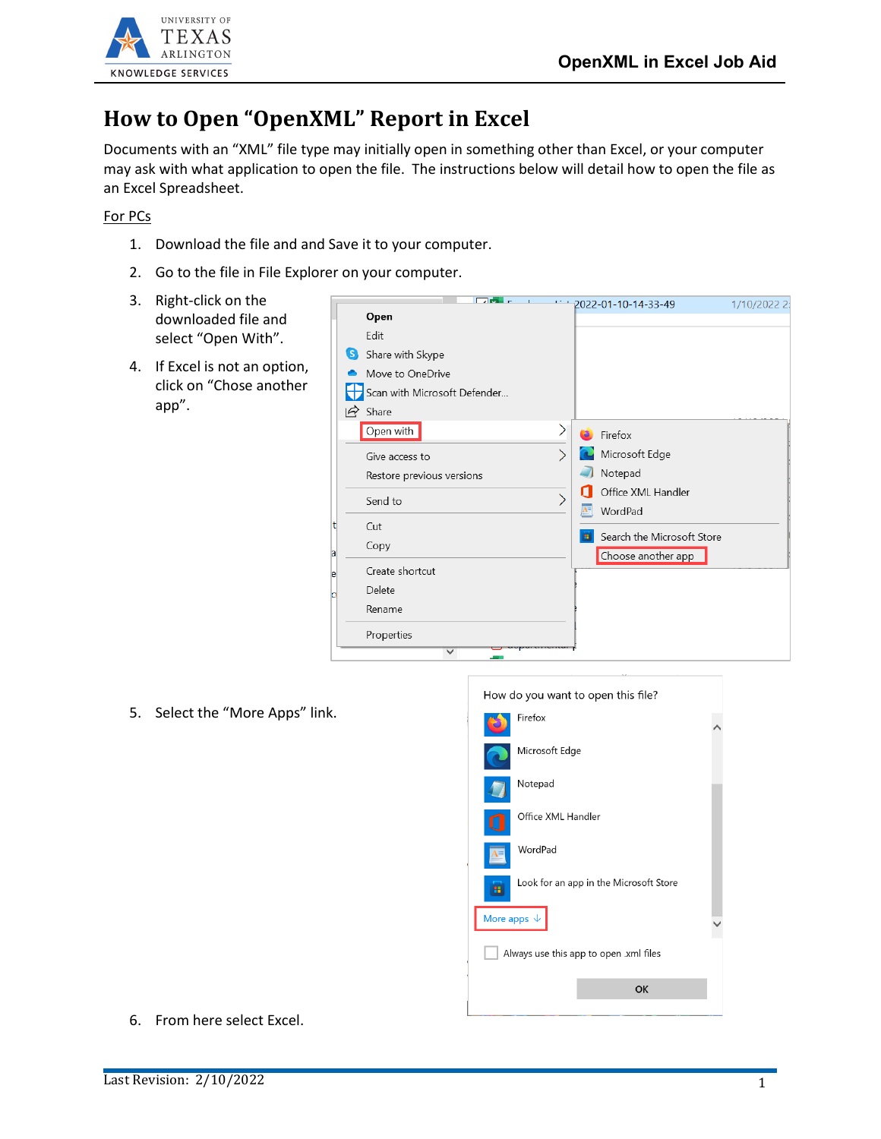

## **How to Open "OpenXML" Report in Excel**

Documents with an "XML" file type may initially open in something other than Excel, or your computer may ask with what application to open the file. The instructions below will detail how to open the file as an Excel Spreadsheet.

For PCs

- 1. Download the file and and Save it to your computer.
- 2. Go to the file in File Explorer on your computer.
- 3. Right-click on the downloaded file and select "Open With".
- 4. If Excel is not an option, click on "Chose another app".

|                              | <b>Division</b> |  | $-2022 - 01 - 10 - 14 - 33 - 49$ | 1/10/2022 2: |
|------------------------------|-----------------|--|----------------------------------|--------------|
| Open                         |                 |  |                                  |              |
| Fdit                         |                 |  |                                  |              |
| S Share with Skype           |                 |  |                                  |              |
| Move to OneDrive             |                 |  |                                  |              |
| Scan with Microsoft Defender |                 |  |                                  |              |
| $\overrightarrow{P}$ Share   |                 |  |                                  |              |
| Open with                    |                 |  | Firefox                          |              |
| Give access to               |                 |  | Microsoft Edge                   |              |
| Restore previous versions    |                 |  | Notepad                          |              |
| Send to                      |                 |  | Office XML Handler               |              |
|                              |                 |  | WordPad                          |              |
| Cut                          |                 |  | Search the Microsoft Store       |              |
| Copy                         |                 |  | Choose another app               |              |
| Create shortcut              |                 |  |                                  |              |
| Delete                       |                 |  |                                  |              |
| Rename                       |                 |  |                                  |              |
| Properties                   |                 |  |                                  |              |
| $\checkmark$                 |                 |  |                                  |              |

5. Select the "More Apps" link.

| How do you want to open this file?     |                                        |  |  |  |  |
|----------------------------------------|----------------------------------------|--|--|--|--|
|                                        | Firefox                                |  |  |  |  |
|                                        | Microsoft Edge                         |  |  |  |  |
|                                        | Notepad                                |  |  |  |  |
|                                        | Office XML Handler                     |  |  |  |  |
|                                        | WordPad                                |  |  |  |  |
|                                        | Look for an app in the Microsoft Store |  |  |  |  |
| More apps $\downarrow$                 |                                        |  |  |  |  |
| Always use this app to open .xml files |                                        |  |  |  |  |
|                                        | OK                                     |  |  |  |  |
|                                        |                                        |  |  |  |  |

6. From here select Excel.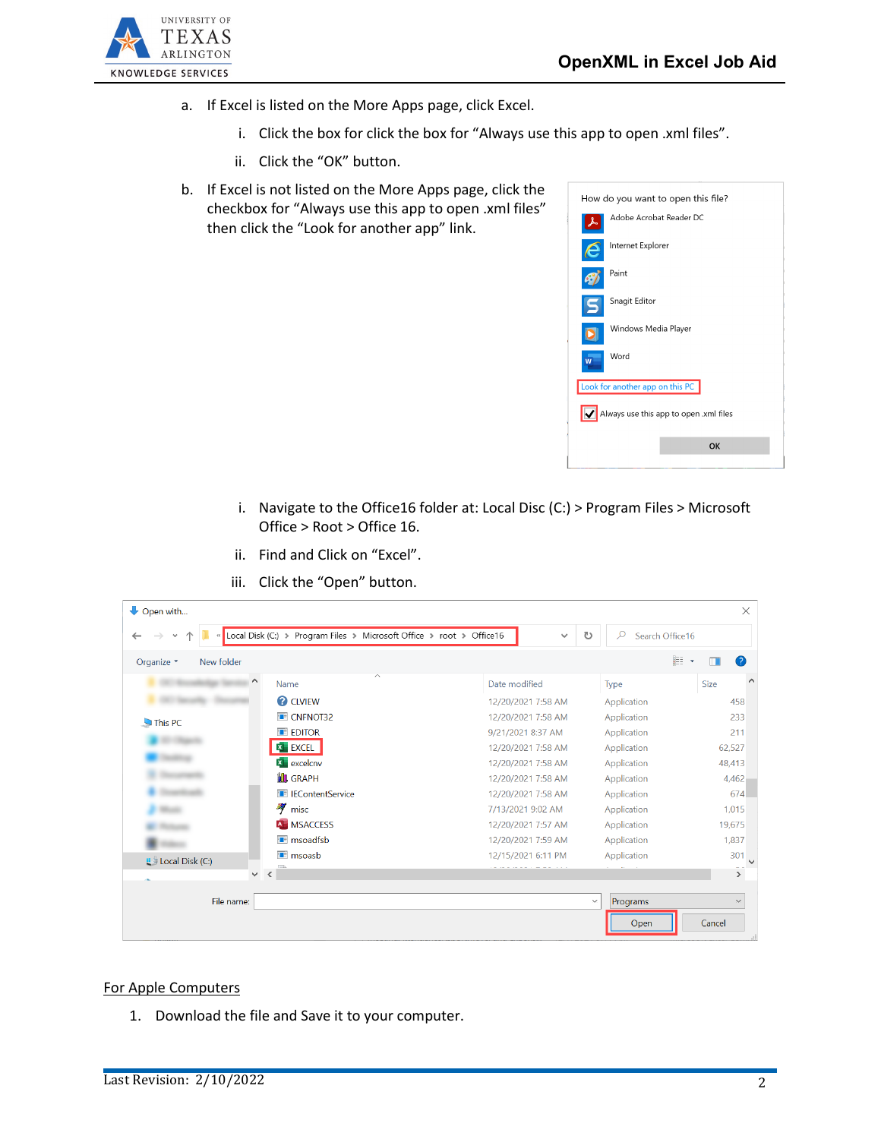

- a. If Excel is listed on the More Apps page, click Excel.
	- i. Click the box for click the box for "Always use this app to open .xml files".
	- ii. Click the "OK" button.
- b. If Excel is not listed on the More Apps page, click the checkbox for "Always use this app to open .xml files" then click the "Look for another app" link.



- i. Navigate to the Office16 folder at: Local Disc (C:) > Program Files > Microsoft Office > Root > Office 16.
- ii. Find and Click on "Excel".

| Open with                |                                                                      |                    |                           | $\times$                |
|--------------------------|----------------------------------------------------------------------|--------------------|---------------------------|-------------------------|
| $\ll$<br>$\checkmark$    | Local Disk (C:) > Program Files > Microsoft Office > root > Office16 | $\checkmark$       | Ω<br>Search Office16<br>υ |                         |
| Organize *<br>New folder |                                                                      |                    |                           | EE -<br>$\bullet$       |
|                          | ㅅ<br>Name                                                            | Date modified      | Type                      | $\wedge$<br><b>Size</b> |
|                          | <b>2</b> CLVIEW                                                      | 12/20/2021 7:58 AM | Application               | 458                     |
| This PC                  | <b>E</b> CNFNOT32                                                    | 12/20/2021 7:58 AM | Application               | 233                     |
|                          | <b>EDITOR</b>                                                        | 9/21/2021 8:37 AM  | Application               | 211                     |
|                          | <b>EXCEL</b>                                                         | 12/20/2021 7:58 AM | Application               | 62,527                  |
|                          | $X$ excelcnv                                                         | 12/20/2021 7:58 AM | Application               | 48,413                  |
|                          | <b>IL GRAPH</b>                                                      | 12/20/2021 7:58 AM | Application               | 4,462                   |
|                          | <b>E</b> IEContentService                                            | 12/20/2021 7:58 AM | Application               | 674                     |
|                          | $\frac{36}{7}$ misc                                                  | 7/13/2021 9:02 AM  | Application               | 1,015                   |
|                          | <b>A</b> MSACCESS                                                    | 12/20/2021 7:57 AM | Application               | 19,675                  |
|                          | <b>T</b> msoadfsb                                                    | 12/20/2021 7:59 AM | Application               | 1,837                   |
| <b>E</b> Local Disk (C:) | <b>T</b> msoasb                                                      | 12/15/2021 6:11 PM | Application               | 301                     |
|                          | D.<br>$\left\langle$<br>$\checkmark$                                 |                    |                           | $\frac{1}{2}$           |
| File name:               |                                                                      |                    | $\checkmark$<br>Programs  | $\checkmark$            |
|                          |                                                                      |                    | Open                      | Cancel                  |

iii. Click the "Open" button.

## For Apple Computers

1. Download the file and Save it to your computer.